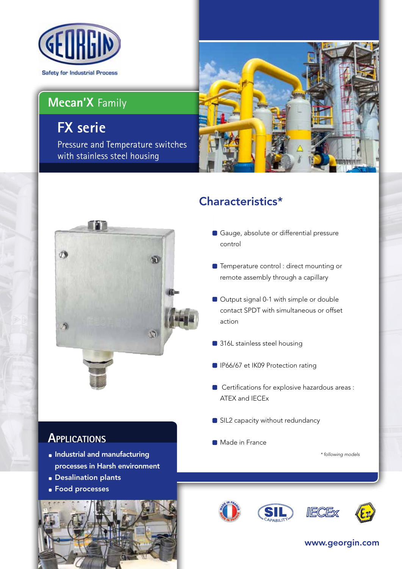

# **Mecan'X** Family

# **FX serie**

Pressure and Temperature switches with stainless steel housing





## Characteristics\*

- Gauge, absolute or differential pressure control
- **Temperature control : direct mounting or** remote assembly through a capillary
- Output signal 0-1 with simple or double contact SPDT with simultaneous or offset action
- 316L stainless steel housing
- **IP66/67 et IK09 Protection rating**
- Certifications for explosive hazardous areas : ATEX and IECEx
- SIL2 capacity without redundancy
- **Made in France**

*\* following models*

## **Applications**

- **Industrial and manufacturing** processes in Harsh environment
- **Desalination plants**
- **Food processes**











### www.georgin.com